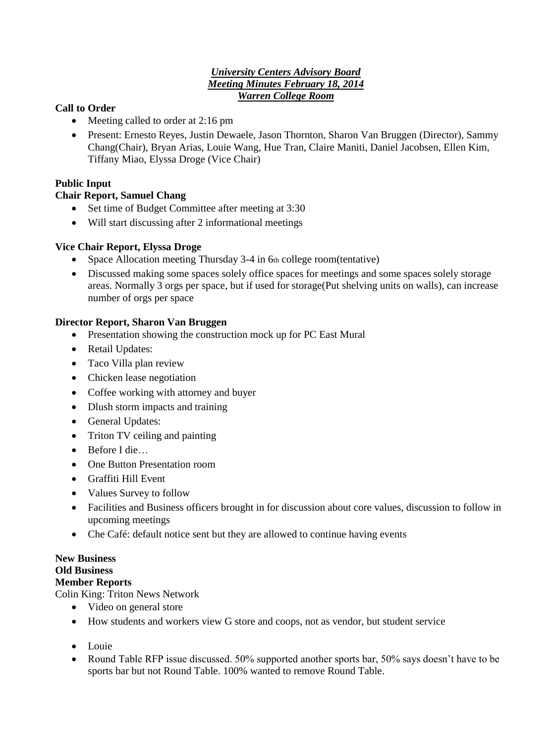### *University Centers Advisory Board Meeting Minutes February 18, 2014 Warren College Room*

## **Call to Order**

- Meeting called to order at 2:16 pm
- Present: Ernesto Reyes, Justin Dewaele, Jason Thornton, Sharon Van Bruggen (Director), Sammy Chang(Chair), Bryan Arias, Louie Wang, Hue Tran, Claire Maniti, Daniel Jacobsen, Ellen Kim, Tiffany Miao, Elyssa Droge (Vice Chair)

## **Public Input**

## **Chair Report, Samuel Chang**

- Set time of Budget Committee after meeting at 3:30
- Will start discussing after 2 informational meetings

#### **Vice Chair Report, Elyssa Droge**

- Space Allocation meeting Thursday 3-4 in 6th college room(tentative)
- Discussed making some spaces solely office spaces for meetings and some spaces solely storage areas. Normally 3 orgs per space, but if used for storage(Put shelving units on walls), can increase number of orgs per space

#### **Director Report, Sharon Van Bruggen**

- Presentation showing the construction mock up for PC East Mural
- Retail Updates:
- Taco Villa plan review
- Chicken lease negotiation
- Coffee working with attorney and buyer
- Dlush storm impacts and training
- General Updates:
- Triton TV ceiling and painting
- Before I die
- One Button Presentation room
- Graffiti Hill Event
- Values Survey to follow
- Facilities and Business officers brought in for discussion about core values, discussion to follow in upcoming meetings
- Che Café: default notice sent but they are allowed to continue having events

# **New Business Old Business**

### **Member Reports**

Colin King: Triton News Network

- Video on general store
- How students and workers view G store and coops, not as vendor, but student service
- Louie
- Round Table RFP issue discussed. 50% supported another sports bar, 50% says doesn't have to be sports bar but not Round Table. 100% wanted to remove Round Table.